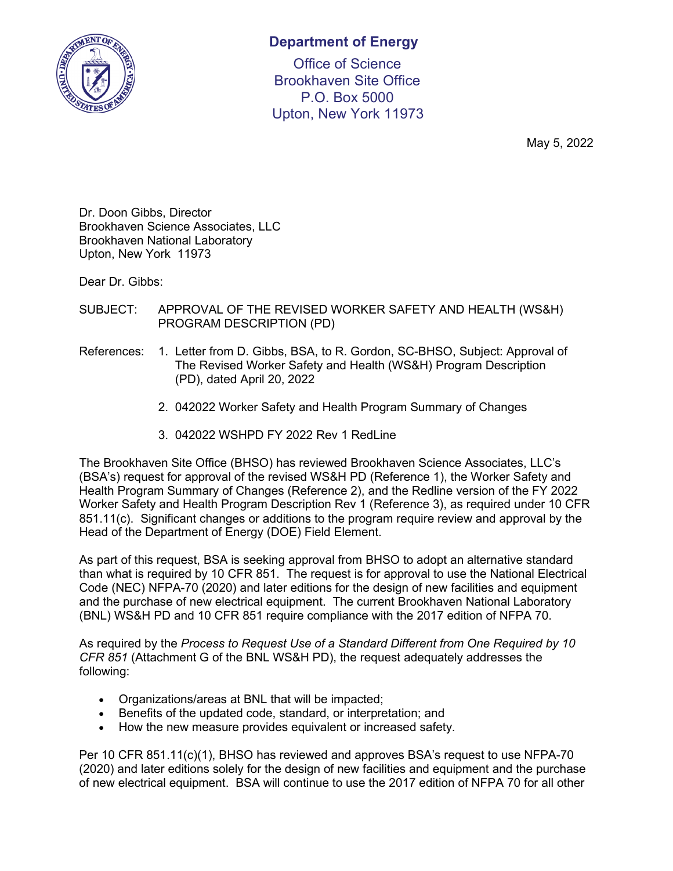

## **Department of Energy**

Office of Science Brookhaven Site Office P.O. Box 5000 Upton, New York 11973

May 5, 2022

Dr. Doon Gibbs, Director Brookhaven Science Associates, LLC Brookhaven National Laboratory Upton, New York 11973

Dear Dr. Gibbs:

- SUBJECT: APPROVAL OF THE REVISED WORKER SAFETY AND HEALTH (WS&H) PROGRAM DESCRIPTION (PD)
- References: 1. Letter from D. Gibbs, BSA, to R. Gordon, SC-BHSO, Subject: Approval of The Revised Worker Safety and Health (WS&H) Program Description (PD), dated April 20, 2022
	- 2. 042022 Worker Safety and Health Program Summary of Changes
	- 3. 042022 WSHPD FY 2022 Rev 1 RedLine

The Brookhaven Site Office (BHSO) has reviewed Brookhaven Science Associates, LLC's (BSA's) request for approval of the revised WS&H PD (Reference 1), the Worker Safety and Health Program Summary of Changes (Reference 2), and the Redline version of the FY 2022 Worker Safety and Health Program Description Rev 1 (Reference 3), as required under 10 CFR 851.11(c).Significant changes or additions to the program require review and approval by the Head of the Department of Energy (DOE) Field Element.

As part of this request, BSA is seeking approval from BHSO to adopt an alternative standard than what is required by 10 CFR 851. The request is for approval to use the National Electrical Code (NEC) NFPA-70 (2020) and later editions for the design of new facilities and equipment and the purchase of new electrical equipment. The current Brookhaven National Laboratory (BNL) WS&H PD and 10 CFR 851 require compliance with the 2017 edition of NFPA 70.

As required by the *Process to Request Use of a Standard Different from One Required by 10 CFR 851* (Attachment G of the BNL WS&H PD), the request adequately addresses the following:

- Organizations/areas at BNL that will be impacted;
- Benefits of the updated code, standard, or interpretation; and
- How the new measure provides equivalent or increased safety.

Per 10 CFR 851.11(c)(1), BHSO has reviewed and approves BSA's request to use NFPA-70 (2020) and later editions solely for the design of new facilities and equipment and the purchase of new electrical equipment. BSA will continue to use the 2017 edition of NFPA 70 for all other